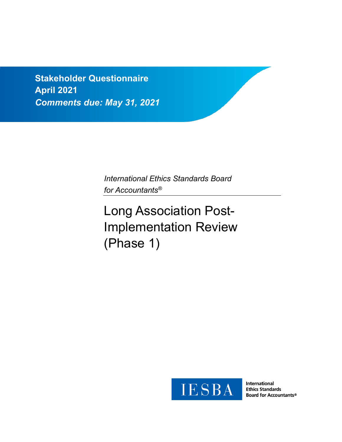**Stakeholder Questionnaire April 2021** *Comments due: May 31, 2021*

> *International Ethics Standards Board for Accountants®*

# Long Association Post-Implementation Review (Phase 1)



**International Ethics Standards Board for Accountants®**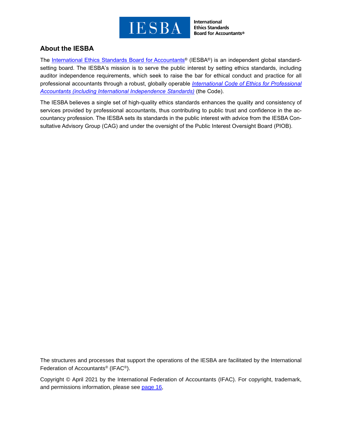

International **Ethics Standards Board for Accountants®** 

## **About the IESBA**

The [International](http://www.ethicsboard.org/) Ethics Standards Board for Accountants® (IESBA®) is an independent global standardsetting board. The IESBA's mission is to serve the public interest by setting ethics standards, including auditor independence requirements, which seek to raise the bar for ethical conduct and practice for all professional accountants through a robust, globally operable *[International](https://www.ethicsboard.org/international-code-ethics-professional-accountants) Code of Ethics for Professional Accountants (including International [Independence](https://www.ethicsboard.org/international-code-ethics-professional-accountants) Standards)* (the Code).

The IESBA believes a single set of high-quality ethics standards enhances the quality and consistency of services provided by professional accountants, thus contributing to public trust and confidence in the accountancy profession. The IESBA sets its standards in the public interest with advice from the IESBA Consultative Advisory Group (CAG) and under the oversight of the Public Interest Oversight Board (PIOB).

The structures and processes that support the operations of the IESBA are facilitated by the International Federation of Accountants® (IFAC®).

Copyright © April 2021 by the International Federation of Accountants (IFAC). For copyright, trademark, and permissions information, please see [page](#page-15-0) 16,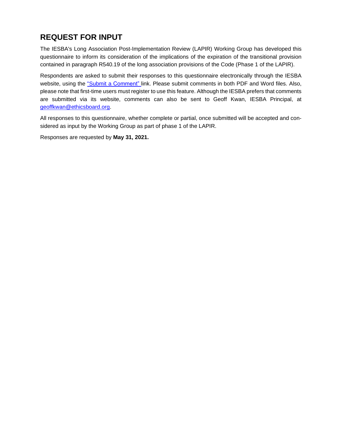## **REQUEST FOR INPUT**

The IESBA's Long Association Post-Implementation Review (LAPIR) Working Group has developed this questionnaire to inform its consideration of the implications of the expiration of the transitional provision contained in paragraph R540.19 of the long association provisions of the Code (Phase 1 of the LAPIR).

Respondents are asked to submit their responses to this questionnaire electronically through the IESBA website, using the "Submit a [Comment"](https://www.ethicsboard.org/exposure-draft/submit-comment?exposure-draft=288494) link. Please submit comments in both PDF and Word files. Also, please note that first-time users must register to use this feature. Although the IESBA prefers that comments are submitted via its website, comments can also be sent to Geoff Kwan, IESBA Principal, at [geoffkwan@ethicsboard.org.](mailto:geoffkwan@ethicsboard.org)

All responses to this questionnaire, whether complete or partial, once submitted will be accepted and considered as input by the Working Group as part of phase 1 of the LAPIR.

Responses are requested by **May 31, 2021.**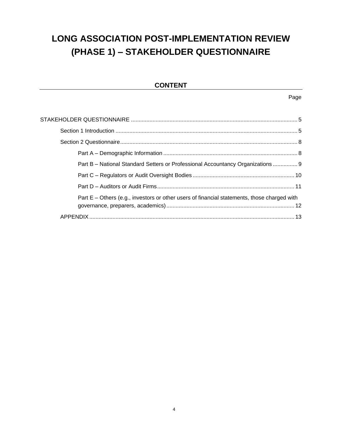## **LONG ASSOCIATION POST-IMPLEMENTATION REVIEW (PHASE 1) – STAKEHOLDER QUESTIONNAIRE**

## **CONTENT**

Page

| Part B - National Standard Setters or Professional Accountancy Organizations  9             |  |
|---------------------------------------------------------------------------------------------|--|
|                                                                                             |  |
|                                                                                             |  |
| Part E – Others (e.g., investors or other users of financial statements, those charged with |  |
|                                                                                             |  |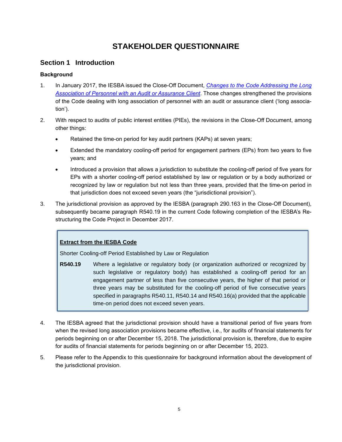## **STAKEHOLDER QUESTIONNAIRE**

### **Section 1 Introduction**

#### **Background**

- 1. In January 2017, the IESBA issued the Close-Off Document, *Changes to the Code [Addressing](https://www.ethicsboard.org/publications/close-changes-code-addressing-long-association-personnel-audit-or-assurance-client-6) the Long [Association](https://www.ethicsboard.org/publications/close-changes-code-addressing-long-association-personnel-audit-or-assurance-client-6) of Personnel with an Audit or Assurance Client*. Those changes strengthened the provisions of the Code dealing with long association of personnel with an audit or assurance client ('long association').
- 2. With respect to audits of public interest entities (PIEs), the revisions in the Close-Off Document, among other things:
	- Retained the time-on period for key audit partners (KAPs) at seven years;
	- Extended the mandatory cooling-off period for engagement partners (EPs) from two years to five years; and
	- Introduced a provision that allows a jurisdiction to substitute the cooling-off period of five years for EPs with a shorter cooling-off period established by law or regulation or by a body authorized or recognized by law or regulation but not less than three years, provided that the time-on period in that jurisdiction does not exceed seven years (the "jurisdictional provision").
- 3. The jurisdictional provision as approved by the IESBA (paragraph 290.163 in the Close-Off Document), subsequently became paragraph R540.19 in the current Code following completion of the IESBA's Restructuring the Code Project in December 2017.

#### **Extract from the IESBA Code**

Shorter Cooling-off Period Established by Law or Regulation

- **R540.19** Where a legislative or regulatory body (or organization authorized or recognized by such legislative or regulatory body) has established a cooling-off period for an engagement partner of less than five consecutive years, the higher of that period or three years may be substituted for the cooling-off period of five consecutive years specified in paragraphs R540.11, R540.14 and R540.16(a) provided that the applicable time-on period does not exceed seven years.
- 4. The IESBA agreed that the jurisdictional provision should have a transitional period of five years from when the revised long association provisions became effective, i.e., for audits of financial statements for periods beginning on or after December 15, 2018. The jurisdictional provision is, therefore, due to expire for audits of financial statements for periods beginning on or after December 15, 2023.
- 5. Please refer to the Appendix to this questionnaire for background information about the development of the jurisdictional provision.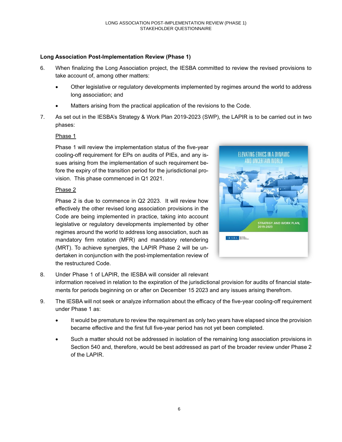#### **Long Association Post-Implementation Review (Phase 1)**

- 6. When finalizing the Long Association project, the IESBA committed to review the revised provisions to take account of, among other matters:
	- Other legislative or regulatory developments implemented by regimes around the world to address long association; and
	- Matters arising from the practical application of the revisions to the Code.
- 7. As set out in the IESBA's Strategy & Work Plan 2019-2023 (SWP), the LAPIR is to be carried out in two phases:

#### Phase 1

Phase 1 will review the implementation status of the five-year cooling-off requirement for EPs on audits of PIEs, and any issues arising from the implementation of such requirement before the expiry of the transition period for the jurisdictional provision. This phase commenced in Q1 2021.

#### Phase 2

Phase 2 is due to commence in Q2 2023. It will review how effectively the other revised long association provisions in the Code are being implemented in practice, taking into account legislative or regulatory developments implemented by other regimes around the world to address long association, such as mandatory firm rotation (MFR) and mandatory retendering (MRT). To achieve synergies, the LAPIR Phase 2 will be undertaken in conjunction with the post-implementation review of the restructured Code.



8. Under Phase 1 of LAPIR, the IESBA will consider all relevant information received in relation to the expiration of the jurisdictional provision for audits of financial statements for periods beginning on or after on December 15 2023 and any issues arising therefrom.

- 9. The IESBA will not seek or analyze information about the efficacy of the five-year cooling-off requirement under Phase 1 as:
	- It would be premature to review the requirement as only two years have elapsed since the provision became effective and the first full five-year period has not yet been completed.
	- Such a matter should not be addressed in isolation of the remaining long association provisions in Section 540 and, therefore, would be best addressed as part of the broader review under Phase 2 of the LAPIR.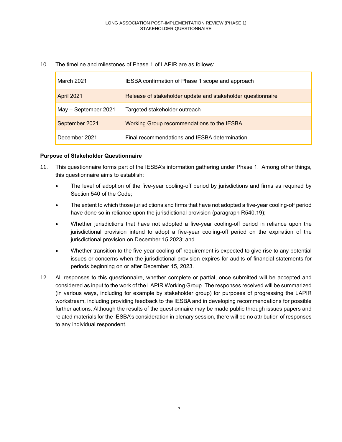10. The timeline and milestones of Phase 1 of LAPIR are as follows:

| March 2021           | IESBA confirmation of Phase 1 scope and approach            |
|----------------------|-------------------------------------------------------------|
| <b>April 2021</b>    | Release of stakeholder update and stakeholder questionnaire |
| May - September 2021 | Targeted stakeholder outreach                               |
| September 2021       | Working Group recommendations to the IESBA                  |
| December 2021        | Final recommendations and IESBA determination               |

#### **Purpose of Stakeholder Questionnaire**

- 11. This questionnaire forms part of the IESBA's information gathering under Phase 1. Among other things, this questionnaire aims to establish:
	- The level of adoption of the five-year cooling-off period by jurisdictions and firms as required by Section 540 of the Code;
	- The extent to which those jurisdictions and firms that have not adopted a five-year cooling-off period have done so in reliance upon the jurisdictional provision (paragraph R540.19);
	- Whether jurisdictions that have not adopted a five-year cooling-off period in reliance upon the jurisdictional provision intend to adopt a five-year cooling-off period on the expiration of the jurisdictional provision on December 15 2023; and
	- Whether transition to the five-year cooling-off requirement is expected to give rise to any potential issues or concerns when the jurisdictional provision expires for audits of financial statements for periods beginning on or after December 15, 2023.
- 12. All responses to this questionnaire, whether complete or partial, once submitted will be accepted and considered as input to the work of the LAPIR Working Group. The responses received will be summarized (in various ways, including for example by stakeholder group) for purposes of progressing the LAPIR workstream, including providing feedback to the IESBA and in developing recommendations for possible further actions. Although the results of the questionnaire may be made public through issues papers and related materials for the IESBA's consideration in plenary session, there will be no attribution of responses to any individual respondent.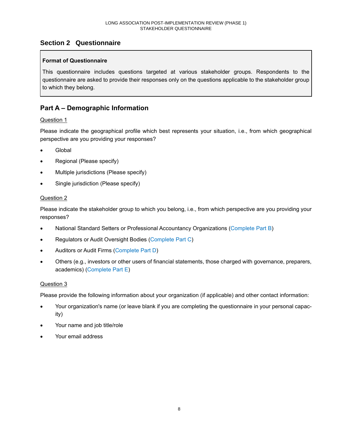## **Section 2 Questionnaire**

#### **Format of Questionnaire**

This questionnaire includes questions targeted at various stakeholder groups. Respondents to the questionnaire are asked to provide their responses only on the questions applicable to the stakeholder group to which they belong.

## **Part A – Demographic Information**

#### Question 1

Please indicate the geographical profile which best represents your situation, i.e., from which geographical perspective are you providing your responses?

- Global
- Regional (Please specify)
- Multiple jurisdictions (Please specify)
- Single jurisdiction (Please specify)

#### Question 2

Please indicate the stakeholder group to which you belong, i.e., from which perspective are you providing your responses?

- National Standard Setters or Professional Accountancy Organizations (Complete Part B)
- Regulators or Audit Oversight Bodies (Complete Part C)
- Auditors or Audit Firms (Complete Part D)
- Others (e.g., investors or other users of financial statements, those charged with governance, preparers, academics) (Complete Part E)

#### Question 3

Please provide the following information about your organization (if applicable) and other contact information:

- Your organization's name (or leave blank if you are completing the questionnaire in your personal capacity)
- Your name and job title/role
- Your email address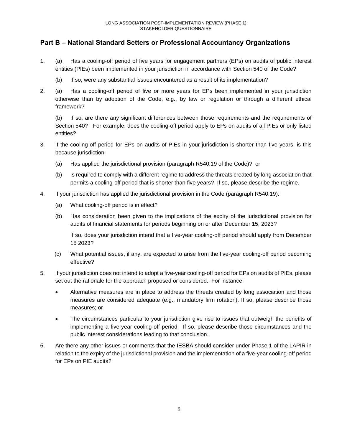## **Part B – National Standard Setters or Professional Accountancy Organizations**

- 1. (a) Has a cooling-off period of five years for engagement partners (EPs) on audits of public interest entities (PIEs) been implemented in your jurisdiction in accordance with Section 540 of the Code?
	- (b) If so, were any substantial issues encountered as a result of its implementation?
- 2. (a) Has a cooling-off period of five or more years for EPs been implemented in your jurisdiction otherwise than by adoption of the Code, e.g., by law or regulation or through a different ethical framework?

(b) If so, are there any significant differences between those requirements and the requirements of Section 540? For example, does the cooling-off period apply to EPs on audits of all PIEs or only listed entities?

- 3. If the cooling-off period for EPs on audits of PIEs in your jurisdiction is shorter than five years, is this because jurisdiction:
	- (a) Has applied the jurisdictional provision (paragraph R540.19 of the Code)? or
	- (b) Is required to comply with a different regime to address the threats created by long association that permits a cooling-off period that is shorter than five years? If so, please describe the regime.
- 4. If your jurisdiction has applied the jurisdictional provision in the Code (paragraph R540.19):
	- (a) What cooling-off period is in effect?
	- (b) Has consideration been given to the implications of the expiry of the jurisdictional provision for audits of financial statements for periods beginning on or after December 15, 2023?

If so, does your jurisdiction intend that a five-year cooling-off period should apply from December 15 2023?

- (c) What potential issues, if any, are expected to arise from the five-year cooling-off period becoming effective?
- 5. If your jurisdiction does not intend to adopt a five-year cooling-off period for EPs on audits of PIEs, please set out the rationale for the approach proposed or considered. For instance:
	- Alternative measures are in place to address the threats created by long association and those measures are considered adequate (e.g., mandatory firm rotation). If so, please describe those measures; or
	- The circumstances particular to your jurisdiction give rise to issues that outweigh the benefits of implementing a five-year cooling-off period. If so, please describe those circumstances and the public interest considerations leading to that conclusion.
- 6. Are there any other issues or comments that the IESBA should consider under Phase 1 of the LAPIR in relation to the expiry of the jurisdictional provision and the implementation of a five-year cooling-off period for EPs on PIE audits?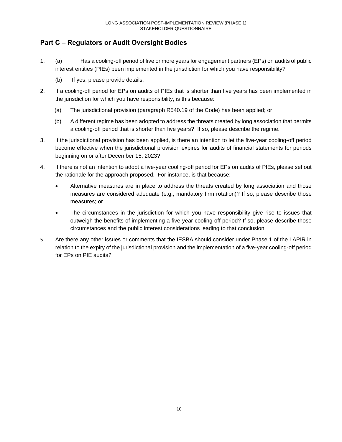## **Part C – Regulators or Audit Oversight Bodies**

- 1. (a) Has a cooling-off period of five or more years for engagement partners (EPs) on audits of public interest entities (PIEs) been implemented in the jurisdiction for which you have responsibility?
	- (b) If yes, please provide details.
- 2. If a cooling-off period for EPs on audits of PIEs that is shorter than five years has been implemented in the jurisdiction for which you have responsibility, is this because:
	- (a) The jurisdictional provision (paragraph R540.19 of the Code) has been applied; or
	- (b) A different regime has been adopted to address the threats created by long association that permits a cooling-off period that is shorter than five years? If so, please describe the regime.
- 3. If the jurisdictional provision has been applied, is there an intention to let the five-year cooling-off period become effective when the jurisdictional provision expires for audits of financial statements for periods beginning on or after December 15, 2023?
- 4. If there is not an intention to adopt a five-year cooling-off period for EPs on audits of PIEs, please set out the rationale for the approach proposed. For instance, is that because:
	- Alternative measures are in place to address the threats created by long association and those measures are considered adequate (e.g., mandatory firm rotation)? If so, please describe those measures; or
	- The circumstances in the jurisdiction for which you have responsibility give rise to issues that outweigh the benefits of implementing a five-year cooling-off period? If so, please describe those circumstances and the public interest considerations leading to that conclusion.
- 5. Are there any other issues or comments that the IESBA should consider under Phase 1 of the LAPIR in relation to the expiry of the jurisdictional provision and the implementation of a five-year cooling-off period for EPs on PIE audits?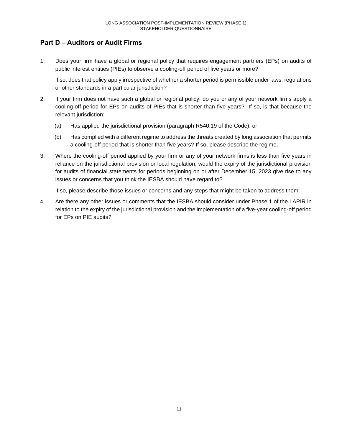## **Part D – Auditors or Audit Firms**

1. Does your firm have a global or regional policy that requires engagement partners (EPs) on audits of public interest entities (PIEs) to observe a cooling-off period of five years or more?

If so, does that policy apply irrespective of whether a shorter period is permissible under laws, regulations or other standards in a particular jurisdiction?

- 2. If your firm does not have such a global or regional policy, do you or any of your network firms apply a cooling-off period for EPs on audits of PIEs that is shorter than five years? If so, is that because the relevant jurisdiction:
	- (a) Has applied the jurisdictional provision (paragraph R540.19 of the Code); or
	- (b) Has complied with a different regime to address the threats created by long association that permits a cooling-off period that is shorter than five years? If so, please describe the regime.
- 3. Where the cooling-off period applied by your firm or any of your network firms is less than five years in reliance on the jurisdictional provision or local regulation, would the expiry of the jurisdictional provision for audits of financial statements for periods beginning on or after December 15, 2023 give rise to any issues or concerns that you think the IESBA should have regard to?

If so, please describe those issues or concerns and any steps that might be taken to address them.

4. Are there any other issues or comments that the IESBA should consider under Phase 1 of the LAPIR in relation to the expiry of the jurisdictional provision and the implementation of a five-year cooling-off period for EPs on PIE audits?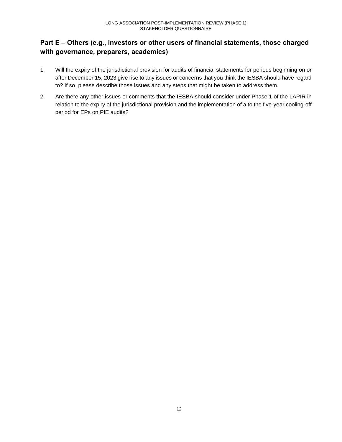## **Part E – Others (e.g., investors or other users of financial statements, those charged with governance, preparers, academics)**

- 1. Will the expiry of the jurisdictional provision for audits of financial statements for periods beginning on or after December 15, 2023 give rise to any issues or concerns that you think the IESBA should have regard to? If so, please describe those issues and any steps that might be taken to address them.
- 2. Are there any other issues or comments that the IESBA should consider under Phase 1 of the LAPIR in relation to the expiry of the jurisdictional provision and the implementation of a to the five-year cooling-off period for EPs on PIE audits?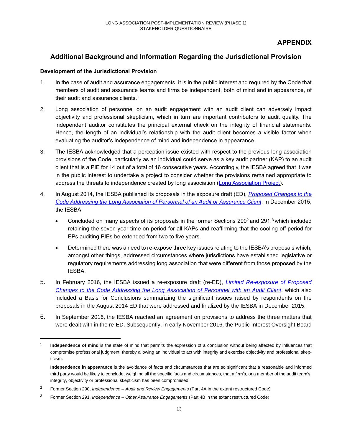## **APPENDIX**

## **Additional Background and Information Regarding the Jurisdictional Provision**

#### **Development of the Jurisdictional Provision**

- 1. In the case of audit and assurance engagements, it is in the public interest and required by the Code that members of audit and assurance teams and firms be independent, both of mind and in appearance, of their audit and assurance clients.<sup>1</sup>
- 2. Long association of personnel on an audit engagement with an audit client can adversely impact objectivity and professional skepticism, which in turn are important contributors to audit quality. The independent auditor constitutes the principal external check on the integrity of financial statements. Hence, the length of an individual's relationship with the audit client becomes a visible factor when evaluating the auditor's independence of mind and independence in appearance.
- 3. The IESBA acknowledged that a perception issue existed with respect to the previous long association provisions of the Code, particularly as an individual could serve as a key audit partner (KAP) to an audit client that is a PIE for 14 out of a total of 16 consecutive years. Accordingly, the IESBA agreed that it was in the public interest to undertake a project to consider whether the provisions remained appropriate to address the threats to independence created by long association (Long [Association](https://www.ethicsboard.org/projects/long-association-senior-personnel-including-partner-rotation-audit-client) Project).
- 4. In August 2014, the IESBA published its proposals in the exposure draft (ED), *[Proposed](https://www.ifac.org/publications-resources/proposed-changes-certain-provisions-code-addressing-long-association-personne) Changes to the Code Addressing the Long [Association](https://www.ifac.org/publications-resources/proposed-changes-certain-provisions-code-addressing-long-association-personne) of Personnel of an Audit or Assurance Client*. In December 2015, the IESBA:
	- Concluded on many aspects of its proposals in the former Sections 290<sup>2</sup> and 291,<sup>3</sup> which included retaining the seven-year time on period for all KAPs and reaffirming that the cooling-off period for EPs auditing PIEs be extended from two to five years.
	- Determined there was a need to re-expose three key issues relating to the IESBA's proposals which, amongst other things, addressed circumstances where jurisdictions have established legislative or regulatory requirements addressing long association that were different from those proposed by the IESBA.
- 5. In February 2016, the IESBA issued a re-exposure draft (re-ED), *Limited [Re-exposure](http://www.ifac.org/publications-resources/exposure-draft-limited-re-exposure-proposed-changes-code-addressing-long) of Proposed Changes to the Code Addressing the Long [Association](http://www.ifac.org/publications-resources/exposure-draft-limited-re-exposure-proposed-changes-code-addressing-long) of Personnel with an Audit Client*, which also included a Basis for Conclusions summarizing the significant issues raised by respondents on the proposals in the August 2014 ED that were addressed and finalized by the IESBA in December 2015.
- 6. In September 2016, the IESBA reached an agreement on provisions to address the three matters that were dealt with in the re-ED. Subsequently, in early November 2016, the Public Interest Oversight Board

<sup>1</sup> **Independence of mind** is the state of mind that permits the expression of a conclusion without being affected by influences that compromise professional judgment, thereby allowing an individual to act with integrity and exercise objectivity and professional skepticism.

**Independence in appearance** is the avoidance of facts and circumstances that are so significant that a reasonable and informed third party would be likely to conclude, weighing all the specific facts and circumstances, that a firm's, or a member of the audit team's, integrity, objectivity or professional skepticism has been compromised.

<sup>2</sup> Former Section 290, *Independence – Audit and Review Engagements* (Part 4A in the extant restructured Code)

<sup>3</sup> Former Section 291, *Independence – Other Assurance Engagements* (Part 4B in the extant restructured Code)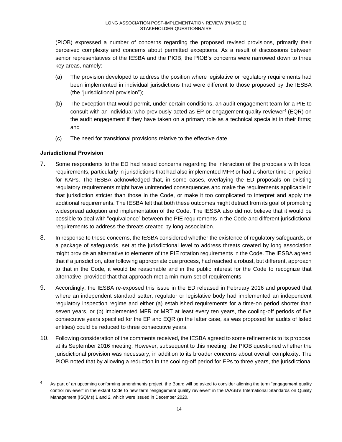(PIOB) expressed a number of concerns regarding the proposed revised provisions, primarily their perceived complexity and concerns about permitted exceptions. As a result of discussions between senior representatives of the IESBA and the PIOB, the PIOB's concerns were narrowed down to three key areas, namely:

- (a) The provision developed to address the position where legislative or regulatory requirements had been implemented in individual jurisdictions that were different to those proposed by the IESBA (the "jurisdictional provision");
- (b) The exception that would permit, under certain conditions, an audit engagement team for a PIE to consult with an individual who previously acted as EP or engagement quality reviewer<sup>4</sup> (EQR) on the audit engagement if they have taken on a primary role as a technical specialist in their firms; and
- (c) The need for transitional provisions relative to the effective date.

#### **Jurisdictional Provision**

- 7. Some respondents to the ED had raised concerns regarding the interaction of the proposals with local requirements, particularly in jurisdictions that had also implemented MFR or had a shorter time-on period for KAPs. The IESBA acknowledged that, in some cases, overlaying the ED proposals on existing regulatory requirements might have unintended consequences and make the requirements applicable in that jurisdiction stricter than those in the Code, or make it too complicated to interpret and apply the additional requirements. The IESBA felt that both these outcomes might detract from its goal of promoting widespread adoption and implementation of the Code. The IESBA also did not believe that it would be possible to deal with "equivalence" between the PIE requirements in the Code and different jurisdictional requirements to address the threats created by long association.
- 8. In response to these concerns, the IESBA considered whether the existence of regulatory safeguards, or a package of safeguards, set at the jurisdictional level to address threats created by long association might provide an alternative to elements of the PIE rotation requirements in the Code. The IESBA agreed that if a jurisdiction, after following appropriate due process, had reached a robust, but different, approach to that in the Code, it would be reasonable and in the public interest for the Code to recognize that alternative, provided that that approach met a minimum set of requirements.
- 9. Accordingly, the IESBA re-exposed this issue in the ED released in February 2016 and proposed that where an independent standard setter, regulator or legislative body had implemented an independent regulatory inspection regime and either (a) established requirements for a time-on period shorter than seven years, or (b) implemented MFR or MRT at least every ten years, the cooling-off periods of five consecutive years specified for the EP and EQR (in the latter case, as was proposed for audits of listed entities) could be reduced to three consecutive years.
- 10. Following consideration of the comments received, the IESBA agreed to some refinements to its proposal at its September 2016 meeting. However, subsequent to this meeting, the PIOB questioned whether the jurisdictional provision was necessary, in addition to its broader concerns about overall complexity. The PIOB noted that by allowing a reduction in the cooling-off period for EPs to three years, the jurisdictional

<sup>&</sup>lt;sup>4</sup> As part of an upcoming conforming amendments project, the Board will be asked to consider aligning the term "engagement quality control reviewer" in the extant Code to new term "engagement quality reviewer" in the IAASB's International Standards on Quality Management (ISQMs) 1 and 2, which were issued in December 2020.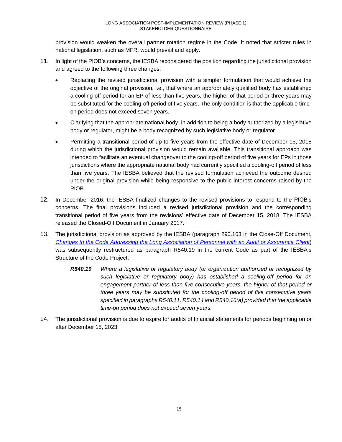provision would weaken the overall partner rotation regime in the Code. It noted that stricter rules in national legislation, such as MFR, would prevail and apply.

- 11. In light of the PIOB's concerns, the IESBA reconsidered the position regarding the jurisdictional provision and agreed to the following three changes:
	- Replacing the revised jurisdictional provision with a simpler formulation that would achieve the objective of the original provision, i.e., that where an appropriately qualified body has established a cooling-off period for an EP of less than five years, the higher of that period or three years may be substituted for the cooling-off period of five years. The only condition is that the applicable timeon period does not exceed seven years.
	- Clarifying that the appropriate national body, in addition to being a body authorized by a legislative body or regulator, might be a body recognized by such legislative body or regulator.
	- Permitting a transitional period of up to five years from the effective date of December 15, 2018 during which the jurisdictional provision would remain available. This transitional approach was intended to facilitate an eventual changeover to the cooling-off period of five years for EPs in those jurisdictions where the appropriate national body had currently specified a cooling-off period of less than five years. The IESBA believed that the revised formulation achieved the outcome desired under the original provision while being responsive to the public interest concerns raised by the PIOB.
- 12. In December 2016, the IESBA finalized changes to the revised provisions to respond to the PIOB's concerns. The final provisions included a revised jurisdictional provision and the corresponding transitional period of five years from the revisions' effective date of December 15, 2018. The IESBA released the Closed-Off Document in January 2017.
- 13. The jurisdictional provision as approved by the IESBA (paragraph 290.163 in the Close-Off Document, *Changes to the Code Addressing the Long [Association](https://www.ethicsboard.org/publications/close-changes-code-addressing-long-association-personnel-audit-or-assurance-client-6) of Personnel with an Audit or Assurance Client*) was subsequently restructured as paragraph R540.19 in the current Code as part of the IESBA's Structure of the Code Project:
	- *R540.19 Where a legislative or regulatory body (or organization authorized or recognized by such legislative or regulatory body) has established a cooling-off period for an engagement partner of less than five consecutive years, the higher of that period or three years may be substituted for the cooling-off period of five consecutive years specified in paragraphs R540.11, R540.14 and R540.16(a) provided that the applicable time-on period does not exceed seven years.*
- 14. The jurisdictional provision is due to expire for audits of financial statements for periods beginning on or after December 15, 2023.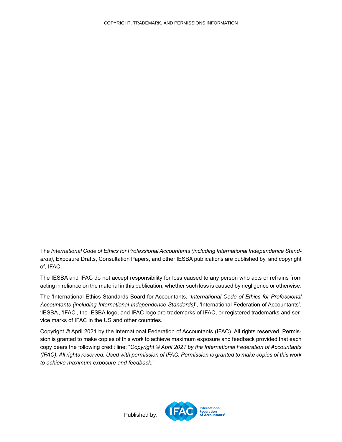<span id="page-15-0"></span>The *International Code of Ethics for Professional Accountants (including International Independence Standards)*, Exposure Drafts, Consultation Papers, and other IESBA publications are published by, and copyright of, IFAC.

The IESBA and IFAC do not accept responsibility for loss caused to any person who acts or refrains from acting in reliance on the material in this publication, whether such loss is caused by negligence or otherwise.

The 'International Ethics Standards Board for Accountants, '*International Code of Ethics for Professional Accountants (including International Independence Standards)*', 'International Federation of Accountants', 'IESBA', 'IFAC', the IESBA logo, and IFAC logo are trademarks of IFAC, or registered trademarks and service marks of IFAC in the US and other countries.

Copyright © April 2021 by the International Federation of Accountants (IFAC). All rights reserved. Permission is granted to make copies of this work to achieve maximum exposure and feedback provided that each copy bears the following credit line: "*Copyright © April 2021 by the International Federation of Accountants* (IFAC). All rights reserved. Used with permission of IFAC. Permission is granted to make copies of this work *to achieve maximum exposure and feedback*."



Published by: